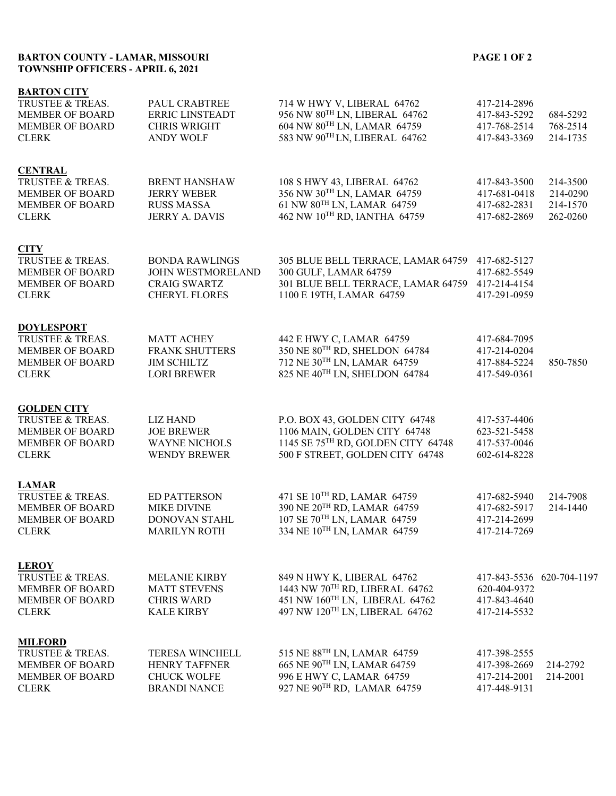## **BARTON COUNTY - LAMAR, MISSOURI PAGE 1 OF 2 TOWNSHIP OFFICERS - APRIL 6, 2021**

## **BARTON CITY**

| TRUSTEE & TREAS.<br><b>MEMBER OF BOARD</b><br><b>MEMBER OF BOARD</b><br><b>CLERK</b>                       | PAUL CRABTREE<br><b>ERRIC LINSTEADT</b><br><b>CHRIS WRIGHT</b><br><b>ANDY WOLF</b>        | 714 W HWY V, LIBERAL 64762<br>956 NW 80TH LN, LIBERAL 64762<br>604 NW 80TH LN, LAMAR 64759<br>583 NW 90TH LN, LIBERAL 64762             | 417-214-2896<br>417-843-5292<br>417-768-2514<br>417-843-3369 | 684-5292<br>768-2514<br>214-1735             |
|------------------------------------------------------------------------------------------------------------|-------------------------------------------------------------------------------------------|-----------------------------------------------------------------------------------------------------------------------------------------|--------------------------------------------------------------|----------------------------------------------|
| <b>CENTRAL</b><br>TRUSTEE & TREAS.<br><b>MEMBER OF BOARD</b><br><b>MEMBER OF BOARD</b><br><b>CLERK</b>     | <b>BRENT HANSHAW</b><br><b>JERRY WEBER</b><br><b>RUSS MASSA</b><br>JERRY A. DAVIS         | 108 S HWY 43, LIBERAL 64762<br>356 NW 30TH LN, LAMAR 64759<br>61 NW 80TH LN, LAMAR 64759<br>462 NW 10TH RD, IANTHA 64759                | 417-843-3500<br>417-681-0418<br>417-682-2831<br>417-682-2869 | 214-3500<br>214-0290<br>214-1570<br>262-0260 |
| <b>CITY</b><br>TRUSTEE & TREAS.<br><b>MEMBER OF BOARD</b><br><b>MEMBER OF BOARD</b><br><b>CLERK</b>        | <b>BONDA RAWLINGS</b><br>JOHN WESTMORELAND<br><b>CRAIG SWARTZ</b><br><b>CHERYL FLORES</b> | 305 BLUE BELL TERRACE, LAMAR 64759<br>300 GULF, LAMAR 64759<br>301 BLUE BELL TERRACE, LAMAR 64759<br>1100 E 19TH, LAMAR 64759           | 417-682-5127<br>417-682-5549<br>417-214-4154<br>417-291-0959 |                                              |
| <b>DOYLESPORT</b><br>TRUSTEE & TREAS.<br><b>MEMBER OF BOARD</b><br><b>MEMBER OF BOARD</b><br><b>CLERK</b>  | <b>MATT ACHEY</b><br><b>FRANK SHUTTERS</b><br><b>JIM SCHILTZ</b><br><b>LORI BREWER</b>    | 442 E HWY C, LAMAR 64759<br>350 NE 80TH RD, SHELDON 64784<br>712 NE 30TH LN, LAMAR 64759<br>825 NE 40TH LN, SHELDON 64784               | 417-684-7095<br>417-214-0204<br>417-884-5224<br>417-549-0361 | 850-7850                                     |
| <b>GOLDEN CITY</b><br>TRUSTEE & TREAS.<br><b>MEMBER OF BOARD</b><br><b>MEMBER OF BOARD</b><br><b>CLERK</b> | <b>LIZ HAND</b><br><b>JOE BREWER</b><br><b>WAYNE NICHOLS</b><br><b>WENDY BREWER</b>       | P.O. BOX 43, GOLDEN CITY 64748<br>1106 MAIN, GOLDEN CITY 64748<br>1145 SE 75TH RD, GOLDEN CITY 64748<br>500 F STREET, GOLDEN CITY 64748 | 417-537-4406<br>623-521-5458<br>417-537-0046<br>602-614-8228 |                                              |
| <b>LAMAR</b><br>TRUSTEE & TREAS.<br><b>MEMBER OF BOARD</b><br><b>MEMBER OF BOARD</b><br><b>CLERK</b>       | <b>ED PATTERSON</b><br><b>MIKE DIVINE</b><br>DONOVAN STAHL<br><b>MARILYN ROTH</b>         | 471 SE 10TH RD, LAMAR 64759<br>390 NE 20TH RD, LAMAR 64759<br>107 SE 70TH LN, LAMAR 64759<br>334 NE 10TH LN, LAMAR 64759                | 417-682-5940<br>417-682-5917<br>417-214-2699<br>417-214-7269 | 214-7908<br>214-1440                         |
| <b>LEROY</b><br>TRUSTEE & TREAS.<br><b>MEMBER OF BOARD</b><br><b>MEMBER OF BOARD</b><br><b>CLERK</b>       | <b>MELANIE KIRBY</b><br><b>MATT STEVENS</b><br><b>CHRIS WARD</b><br><b>KALE KIRBY</b>     | 849 N HWY K, LIBERAL 64762<br>1443 NW 70TH RD, LIBERAL 64762<br>451 NW 160TH LN, LIBERAL 64762<br>497 NW 120TH LN, LIBERAL 64762        | 620-404-9372<br>417-843-4640<br>417-214-5532                 | 417-843-5536 620-704-1197                    |
| <b>MILFORD</b><br>TRUSTEE & TREAS.<br><b>MEMBER OF BOARD</b><br><b>MEMBER OF BOARD</b><br><b>CLERK</b>     | TERESA WINCHELL<br><b>HENRY TAFFNER</b><br><b>CHUCK WOLFE</b><br><b>BRANDI NANCE</b>      | 515 NE 88TH LN, LAMAR 64759<br>665 NE 90TH LN, LAMAR 64759<br>996 E HWY C, LAMAR 64759<br>927 NE 90TH RD, LAMAR 64759                   | 417-398-2555<br>417-398-2669<br>417-214-2001<br>417-448-9131 | 214-2792<br>214-2001                         |